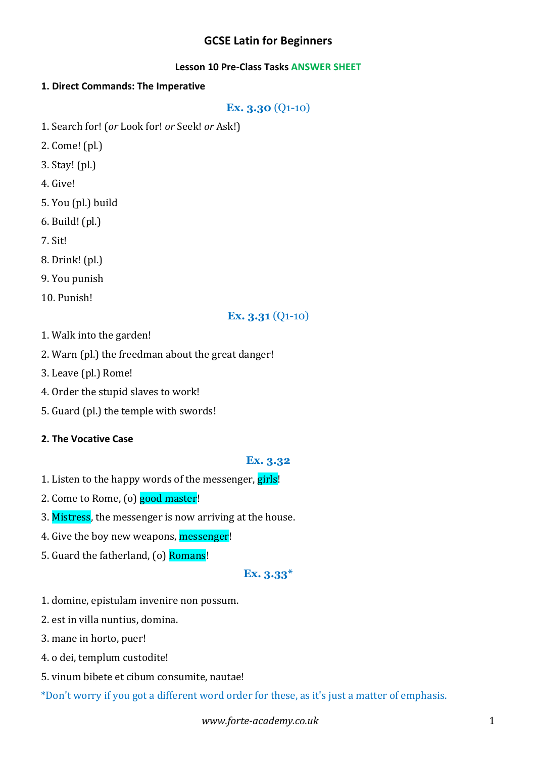# **GCSE Latin for Beginners**

#### **Lesson 10 Pre-Class Tasks ANSWER SHEET**

### **1. Direct Commands: The Imperative**

**Ex. 3.30** (Q1-10)

- 1. Search for! (or Look for! or Seek! or Ask!)
- 2. Come! (pl.)
- 3. Stay! (pl.)
- 4. Give!
- 5. You (pl.) build
- $6.$  Build!  $(pl.)$
- 7. Sit!
- 8. Drink! (pl.)
- 9. You punish
- 10. Punish!

# **Ex. 3.31** (Q1-10)

- 1. Walk into the garden!
- 2. Warn (pl.) the freedman about the great danger!
- 3. Leave (pl.) Rome!
- 4. Order the stupid slaves to work!
- 5. Guard (pl.) the temple with swords!

### **2. The Vocative Case**

#### **Ex. 3.32**

- 1. Listen to the happy words of the messenger, girls!
- 2. Come to Rome, (o) good master!
- 3. Mistress, the messenger is now arriving at the house.
- 4. Give the boy new weapons, messenger!
- 5. Guard the fatherland, (o) Romans!

#### **Ex. 3.33\***

- 1. domine, epistulam invenire non possum.
- 2. est in villa nuntius, domina.
- 3. mane in horto, puer!
- 4. o dei, templum custodite!
- 5. vinum bibete et cibum consumite, nautae!
- \*Don't worry if you got a different word order for these, as it's just a matter of emphasis.